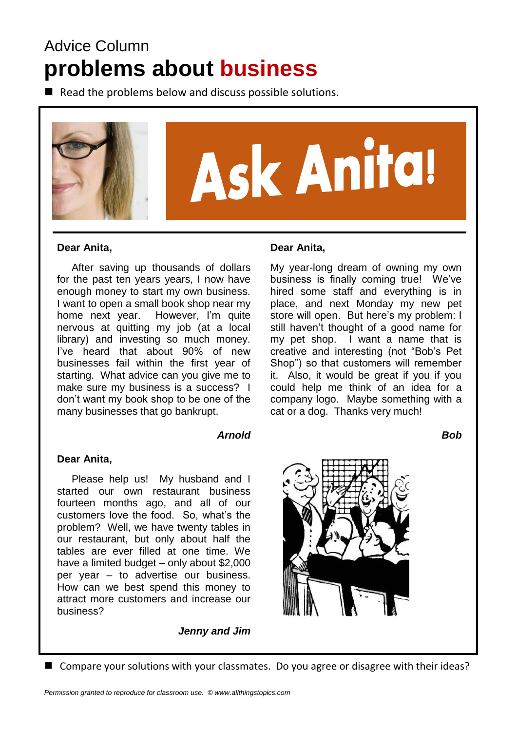# Advice Column **problems about business**

 $\blacksquare$  Read the problems below and discuss possible solutions.



#### **Dear Anita,**

 After saving up thousands of dollars for the past ten years years, I now have enough money to start my own business. I want to open a small book shop near my home next year. However, I'm quite nervous at quitting my job (at a local library) and investing so much money. I've heard that about 90% of new businesses fail within the first year of starting. What advice can you give me to make sure my business is a success? I don't want my book shop to be one of the many businesses that go bankrupt.

#### *Arnold*

#### **Dear Anita,**

 Please help us! My husband and I started our own restaurant business fourteen months ago, and all of our customers love the food. So, what's the problem? Well, we have twenty tables in our restaurant, but only about half the tables are ever filled at one time. We have a limited budget – only about \$2,000 per year – to advertise our business. How can we best spend this money to attract more customers and increase our business?

*Jenny and Jim*

#### **Dear Anita,**

My year-long dream of owning my own business is finally coming true! We've hired some staff and everything is in place, and next Monday my new pet store will open. But here's my problem: I still haven't thought of a good name for my pet shop. I want a name that is creative and interesting (not "Bob's Pet Shop") so that customers will remember it. Also, it would be great if you if you could help me think of an idea for a company logo. Maybe something with a cat or a dog. Thanks very much!

*Bob*



<sup>■</sup> Compare your solutions with your classmates. Do you agree or disagree with their ideas?